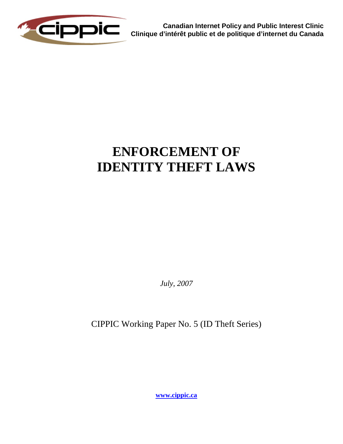

**Canadian Internet Policy and Public Interest Clinic Clinique d'intérêt public et de politique d'internet du Canada**

# **ENFORCEMENT OF IDENTITY THEFT LAWS**

*July, 2007*

CIPPIC Working Paper No. 5 (ID Theft Series)

**[www.cippic.ca](http://www.cippic.ca/)**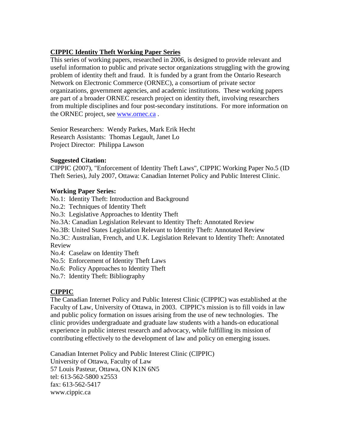#### **CIPPIC Identity Theft Working Paper Series**

This series of working papers, researched in 2006, is designed to provide relevant and useful information to public and private sector organizations struggling with the growing problem of identity theft and fraud. It is funded by a grant from the Ontario Research Network on Electronic Commerce (ORNEC), a consortium of private sector organizations, government agencies, and academic institutions. These working papers are part of a broader ORNEC research project on identity theft, involving researchers from multiple disciplines and four post-secondary institutions. For more information on the ORNEC project, see [www.ornec.ca](http://www.ornec.ca/) .

Senior Researchers: Wendy Parkes, Mark Erik Hecht Research Assistants: Thomas Legault, Janet Lo Project Director: Philippa Lawson

#### **Suggested Citation:**

CIPPIC (2007), "Enforcement of Identity Theft Laws", CIPPIC Working Paper No.5 (ID Theft Series), July 2007, Ottawa: Canadian Internet Policy and Public Interest Clinic.

#### **Working Paper Series:**

No.1: Identity Theft: Introduction and Background

No.2: Techniques of Identity Theft

No.3: Legislative Approaches to Identity Theft

No.3A: Canadian Legislation Relevant to Identity Theft: Annotated Review

No.3B: United States Legislation Relevant to Identity Theft: Annotated Review

No.3C: Australian, French, and U.K. Legislation Relevant to Identity Theft: Annotated Review

No.4: Caselaw on Identity Theft

No.5: Enforcement of Identity Theft Laws

No.6: Policy Approaches to Identity Theft

No.7: Identity Theft: Bibliography

#### **CIPPIC**

The Canadian Internet Policy and Public Interest Clinic (CIPPIC) was established at the Faculty of Law, University of Ottawa, in 2003. CIPPIC's mission is to fill voids in law and public policy formation on issues arising from the use of new technologies. The clinic provides undergraduate and graduate law students with a hands-on educational experience in public interest research and advocacy, while fulfilling its mission of contributing effectively to the development of law and policy on emerging issues.

Canadian Internet Policy and Public Interest Clinic (CIPPIC) University of Ottawa, Faculty of Law 57 Louis Pasteur, Ottawa, ON K1N 6N5 tel: 613-562-5800 x2553 fax: 613-562-5417 www.cippic.ca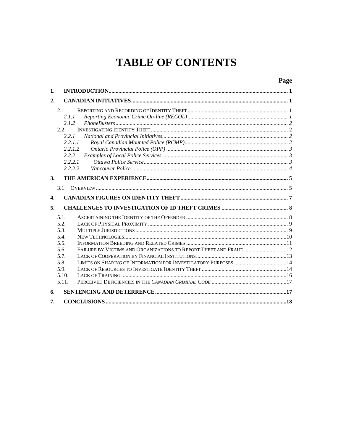## **TABLE OF CONTENTS**

## Page

| 1.             |                                                                                                                                                              |  |
|----------------|--------------------------------------------------------------------------------------------------------------------------------------------------------------|--|
| 2.             |                                                                                                                                                              |  |
|                | 2.1<br>2.1.1<br>2.1.2<br>2.2.<br>2.2.1<br>2.2.1.1<br>2.2.1.2<br>2.2.2<br>2.2.2.1                                                                             |  |
|                | 2.2.2.2                                                                                                                                                      |  |
| 3.<br>4.       | 3.1                                                                                                                                                          |  |
| 5 <sub>1</sub> |                                                                                                                                                              |  |
|                | 5.1.<br>5.2.<br>5.3.<br>5.4.<br>5.5.<br>FAILURE BY VICTIMS AND ORGANIZATIONS TO REPORT THEFT AND FRAUD  12<br>5.6.<br>5.7.<br>5.8.<br>5.9.<br>5.10.<br>5.11. |  |
| 6.             |                                                                                                                                                              |  |
| 7.             |                                                                                                                                                              |  |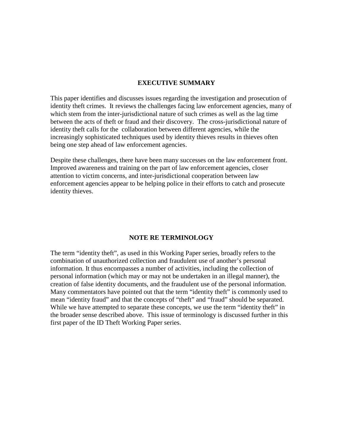#### **EXECUTIVE SUMMARY**

This paper identifies and discusses issues regarding the investigation and prosecution of identity theft crimes. It reviews the challenges facing law enforcement agencies, many of which stem from the inter-jurisdictional nature of such crimes as well as the lag time between the acts of theft or fraud and their discovery. The cross-jurisdictional nature of identity theft calls for the collaboration between different agencies, while the increasingly sophisticated techniques used by identity thieves results in thieves often being one step ahead of law enforcement agencies.

Despite these challenges, there have been many successes on the law enforcement front. Improved awareness and training on the part of law enforcement agencies, closer attention to victim concerns, and inter-jurisdictional cooperation between law enforcement agencies appear to be helping police in their efforts to catch and prosecute identity thieves.

#### **NOTE RE TERMINOLOGY**

The term "identity theft", as used in this Working Paper series, broadly refers to the combination of unauthorized collection and fraudulent use of another's personal information. It thus encompasses a number of activities, including the collection of personal information (which may or may not be undertaken in an illegal manner), the creation of false identity documents, and the fraudulent use of the personal information. Many commentators have pointed out that the term "identity theft" is commonly used to mean "identity fraud" and that the concepts of "theft" and "fraud" should be separated. While we have attempted to separate these concepts, we use the term "identity theft" in the broader sense described above. This issue of terminology is discussed further in this first paper of the ID Theft Working Paper series.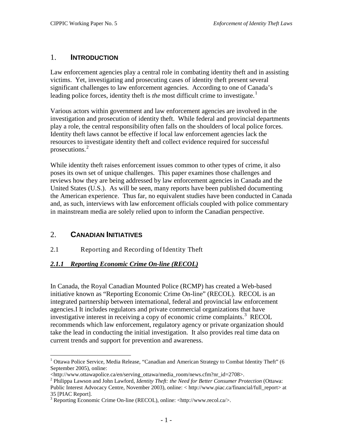#### <span id="page-4-0"></span>1. **INTRODUCTION**

Law enforcement agencies play a central role in combating identity theft and in assisting victims. Yet, investigating and prosecuting cases of identity theft present several significant challenges to law enforcement agencies. According to one of Canada's leading police forces, identity theft is *the* most difficult crime to investigate.<sup>[1](#page-4-4)</sup>

Various actors within government and law enforcement agencies are involved in the investigation and prosecution of identity theft. While federal and provincial departments play a role, the central responsibility often falls on the shoulders of local police forces. Identity theft laws cannot be effective if local law enforcement agencies lack the resources to investigate identity theft and collect evidence required for successful prosecutions. [2](#page-4-5)

While identity theft raises enforcement issues common to other types of crime, it also poses its own set of unique challenges. This paper examines those challenges and reviews how they are being addressed by law enforcement agencies in Canada and the United States (U.S.). As will be seen, many reports have been published documenting the American experience. Thus far, no equivalent studies have been conducted in Canada and, as such, interviews with law enforcement officials coupled with police commentary in mainstream media are solely relied upon to inform the Canadian perspective.

## <span id="page-4-1"></span>2. **CANADIAN INITIATIVES**

#### <span id="page-4-2"></span>2.1 Reporting and Recording of Identity Theft

#### <span id="page-4-3"></span>*2.1.1 Reporting Economic Crime On-line (RECOL)*

In Canada, the Royal Canadian Mounted Police (RCMP) has created a Web-based initiative known as "Reporting Economic Crime On-line" (RECOL). RECOL is an integrated partnership between international, federal and provincial law enforcement agencies.I It includes regulators and private commercial organizations that have investigative interest in receiving a copy of economic crime complaints.<sup>[3](#page-4-6)</sup> RECOL recommends which law enforcement, regulatory agency or private organization should take the lead in conducting the initial investigation. It also provides real time data on current trends and support for prevention and awareness.

<span id="page-4-4"></span><sup>&</sup>lt;sup>1</sup> Ottawa Police Service, Media Release, "Canadian and American Strategy to Combat Identity Theft" (6 September 2005), online:

<sup>&</sup>lt;http://www.ottawapolice.ca/en/serving\_ottawa/media\_room/news.cfm?nr\_id=2708>.

<span id="page-4-5"></span><sup>2</sup> Philippa Lawson and John Lawford, *Identity Theft: the Need for Better Consumer Protection* (Ottawa: Public Interest Advocacy Centre, November 2003), online: < http://www.piac.ca/financial/full\_report> at 35 [PIAC Report].

<span id="page-4-6"></span> $3$  Reporting Economic Crime On-line (RECOL), online:  $\langle$ http://www.recol.ca/>.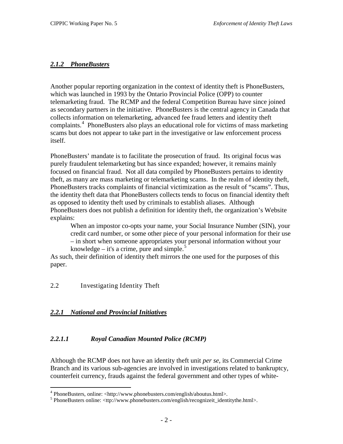#### <span id="page-5-0"></span>*2.1.2 PhoneBusters*

Another popular reporting organization in the context of identity theft is PhoneBusters, which was launched in 1993 by the Ontario Provincial Police (OPP) to counter telemarketing fraud. The RCMP and the federal Competition Bureau have since joined as secondary partners in the initiative. PhoneBusters is the central agency in Canada that collects information on telemarketing, advanced fee fraud letters and identity theft complaints.<sup>[4](#page-5-4)</sup> PhoneBusters also plays an educational role for victims of mass marketing scams but does not appear to take part in the investigative or law enforcement process itself.

PhoneBusters' mandate is to facilitate the prosecution of fraud. Its original focus was purely fraudulent telemarketing but has since expanded; however, it remains mainly focused on financial fraud. Not all data compiled by PhoneBusters pertains to identity theft, as many are mass marketing or telemarketing scams. In the realm of identity theft, PhoneBusters tracks complaints of financial victimization as the result of "scams". Thus, the identity theft data that PhoneBusters collects tends to focus on financial identity theft as opposed to identity theft used by criminals to establish aliases. Although PhoneBusters does not publish a definition for identity theft, the organization's Website explains:

When an impostor co-opts your name, your Social Insurance Number (SIN), your credit card number, or some other piece of your personal information for their use – in short when someone appropriates your personal information without your knowledge – it's a crime, pure and simple.<sup>[5](#page-5-5)</sup>

As such, their definition of identity theft mirrors the one used for the purposes of this paper.

<span id="page-5-1"></span>2.2 Investigating Identity Theft

#### <span id="page-5-2"></span>*2.2.1 National and Provincial Initiatives*

#### <span id="page-5-3"></span>*2.2.1.1 Royal Canadian Mounted Police (RCMP)*

Although the RCMP does not have an identity theft unit *per se*, its Commercial Crime Branch and its various sub-agencies are involved in investigations related to bankruptcy, counterfeit currency, frauds against the federal government and other types of white-

<span id="page-5-4"></span> $4$  PhoneBusters, online: <http://www.phonebusters.com/english/aboutus.html>.

<span id="page-5-5"></span><sup>5</sup> PhoneBusters online: <ttp://www.phonebusters.com/english/recognizeit\_identitythe.html>.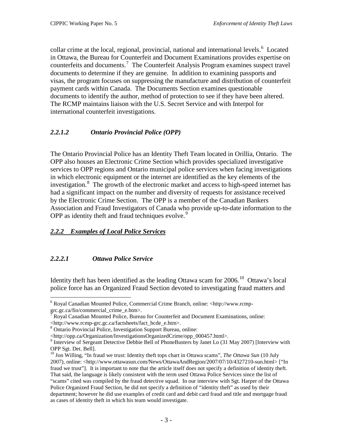collar crime at the local, regional, provincial, national and international levels.<sup>[6](#page-6-3)</sup> Located in Ottawa, the Bureau for Counterfeit and Document Examinations provides expertise on counterfeits and documents.<sup>[7](#page-6-4)</sup> The Counterfeit Analysis Program examines suspect travel documents to determine if they are genuine. In addition to examining passports and visas, the program focuses on suppressing the manufacture and distribution of counterfeit payment cards within Canada. The Documents Section examines questionable documents to identify the author, method of protection to see if they have been altered. The RCMP maintains liaison with the U.S. Secret Service and with Interpol for international counterfeit investigations.

## <span id="page-6-0"></span>*2.2.1.2 Ontario Provincial Police (OPP)*

The Ontario Provincial Police has an Identity Theft Team located in Orillia, Ontario. The OPP also houses an Electronic Crime Section which provides specialized investigative services to OPP regions and Ontario municipal police services when facing investigations in which electronic equipment or the internet are identified as the key elements of the investigation.<sup>[8](#page-6-5)</sup> The growth of the electronic market and access to high-speed internet has had a significant impact on the number and diversity of requests for assistance received by the Electronic Crime Section. The OPP is a member of the Canadian Bankers Association and Fraud Investigators of Canada who provide up-to-date information to the OPP as identity theft and fraud techniques evolve.<sup>[9](#page-6-6)</sup>

## <span id="page-6-1"></span>*2.2.2 Examples of Local Police Services*

#### <span id="page-6-2"></span>*2.2.2.1 Ottawa Police Service*

Identity theft has been identified as the leading Ottawa scam for  $2006$ .<sup>[10](#page-6-7)</sup> Ottawa's local police force has an Organized Fraud Section devoted to investigating fraud matters and

<span id="page-6-3"></span> <sup>6</sup> Royal Canadian Mounted Police, Commercial Crime Branch, online: <http://www.rcmp-

<span id="page-6-4"></span>grc.gc.ca/fio/commercial\_crime\_e.htm>.<br>
<sup>7</sup> Royal Canadian Mounted Police, Bureau for Counterfeit and Document Examinations, online:<br>
<http://www.rcmp-grc.gc.ca/factsheets/fact\_bcde\_e.htm>.

<span id="page-6-5"></span>

<sup>&</sup>lt;sup>8</sup> Ontario Provincial Police, Investigation Support Bureau, online:<br>  $\langle$ http://opp.ca/Organization/InvestigationsOrganizedCrime/opp\_000457.html>.

<span id="page-6-6"></span> $9$  Interview of Sergeant Detective Debbie Bell of PhoneBusters by Janet Lo (31 May 2007) [Interview with OPP Sgt. Det. Bell].

<span id="page-6-7"></span><sup>10</sup> Jon Willing, "In fraud we trust: Identity theft tops chart in Ottawa scams", *The Ottawa Sun* (10 July 2007), online: <http://www.ottawasun.com/News/OttawaAndRegion/2007/07/10/4327210-sun.html> ["In fraud we trust"]. It is important to note that the article itself does not specify a definition of identity theft. That said, the language is likely consistent with the term used Ottawa Police Services since the list of "scams" cited was compiled by the fraud detective squad. In our interview with Sgt. Harper of the Ottawa Police Organized Fraud Section, he did not specify a definition of "identity theft" as used by their department; however he did use examples of credit card and debit card fraud and title and mortgage fraud as cases of identity theft in which his team would investigate.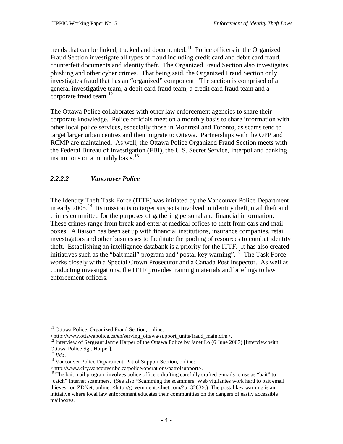trends that can be linked, tracked and documented. $11$  Police officers in the Organized Fraud Section investigate all types of fraud including credit card and debit card fraud, counterfeit documents and identity theft. The Organized Fraud Section also investigates phishing and other cyber crimes. That being said, the Organized Fraud Section only investigates fraud that has an "organized" component. The section is comprised of a general investigative team, a debit card fraud team, a credit card fraud team and a corporate fraud team.<sup>[12](#page-7-2)</sup>

The Ottawa Police collaborates with other law enforcement agencies to share their corporate knowledge. Police officials meet on a monthly basis to share information with other local police services, especially those in Montreal and Toronto, as scams tend to target larger urban centres and then migrate to Ottawa. Partnerships with the OPP and RCMP are maintained. As well, the Ottawa Police Organized Fraud Section meets with the Federal Bureau of Investigation (FBI), the U.S. Secret Service, Interpol and banking institutions on a monthly basis.<sup>[13](#page-7-3)</sup>

## <span id="page-7-0"></span>*2.2.2.2 Vancouver Police*

The Identity Theft Task Force (ITTF) was initiated by the Vancouver Police Department in early 2005.<sup>[14](#page-7-4)</sup> Its mission is to target suspects involved in identity theft, mail theft and crimes committed for the purposes of gathering personal and financial information. These crimes range from break and enter at medical offices to theft from cars and mail boxes. A liaison has been set up with financial institutions, insurance companies, retail investigators and other businesses to facilitate the pooling of resources to combat identity theft. Establishing an intelligence databank is a priority for the ITTF. It has also created initiatives such as the "bait mail" program and "postal key warning".<sup>[15](#page-7-5)</sup> The Task Force works closely with a Special Crown Prosecutor and a Canada Post Inspector. As well as conducting investigations, the ITTF provides training materials and briefings to law enforcement officers.

<span id="page-7-1"></span><sup>&</sup>lt;sup>11</sup> Ottawa Police, Organized Fraud Section, online:<br><http://www.ottawapolice.ca/en/serving ottawa/support units/fraud main.cfm>.

<span id="page-7-2"></span> $12$  Interview of Sergeant Jamie Harper of the Ottawa Police by Janet Lo (6 June 2007) [Interview with Ottawa Police Sgt. Harper].<br><sup>13</sup> Ibid.

<span id="page-7-3"></span>

<span id="page-7-4"></span><sup>&</sup>lt;sup>14</sup> Vancouver Police Department, Patrol Support Section, online:

<sup>&</sup>lt;http://www.city.vancouver.bc.ca/police/operations/patrolsupport>.

<span id="page-7-5"></span><sup>&</sup>lt;sup>15</sup> The bait mail program involves police officers drafting carefully crafted e-mails to use as "bait" to "catch" Internet scammers. (See also "Scamming the scammers: Web vigilantes work hard to bait email thieves" on ZDNet, online: <http://government.zdnet.com/?p=3283>.) The postal key warning is an initiative where local law enforcement educates their communities on the dangers of easily accessible mailboxes.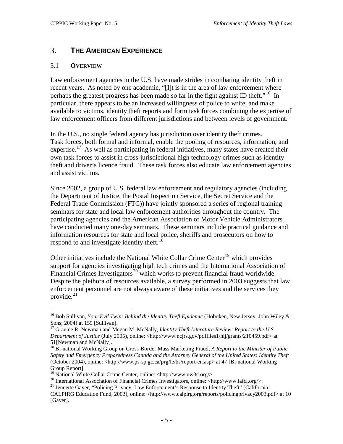## <span id="page-8-0"></span>3. **THE AMERICAN EXPERIENCE**

#### <span id="page-8-1"></span>3.1 **OVERVIEW**

Law enforcement agencies in the U.S. have made strides in combating identity theft in recent years. As noted by one academic, "[I]t is in the area of law enforcement where perhaps the greatest progress has been made so far in the fight against ID theft."<sup>[16](#page-8-2)</sup> In particular, there appears to be an increased willingness of police to write, and make available to victims, identity theft reports and form task forces combining the expertise of law enforcement officers from different jurisdictions and between levels of government.

Task forces, both formal and informal, enable the pooling of resources, information, and expertise.<sup>[17](#page-8-3)</sup> As well as participating in federal initiatives, many states have created their In the U.S., no single federal agency has jurisdiction over identity theft crimes. own task forces to assist in cross-jurisdictional high technology crimes such as identity theft and driver's licence fraud. These task forces also educate law enforcement agencies and assist victims.

Since 2002, a group of U.S. federal law enforcement and regulatory agencies (including the Department of Justice, the Postal Inspection Service, the Secret Service and the Federal Trade Commission (FTC)) have jointly sponsored a series of regional training seminars for state and local law enforcement authorities throughout the country. The participating agencies and the American Association of Motor Vehicle Administrators have conducted many one-day seminars. These seminars include practical guidance and information resources for state and local police, sheriffs and prosecutors on how to respond to and investigate identity theft.<sup>[18](#page-8-4)</sup>

Other initiatives include the National White Collar Crime Center<sup>[19](#page-8-5)</sup> which provides support for agencies investigating high tech crimes and the International Association of Financial Crimes Investigators<sup>[20](#page-8-6)</sup> which works to prevent financial fraud worldwide. Despite the plethora of resources available, a survey performed in 2003 suggests that law enforcement personnel are not always aware of these initiatives and the services they provide. [21](#page-8-7)

<span id="page-8-2"></span> <sup>16</sup> Bob Sullivan, *Your Evil Twin: Behind the Identity Theft Epidemic* (Hoboken, New Jersey: John Wiley & Sons; 2004) at 159 [Sullivan].

<span id="page-8-3"></span><sup>&</sup>lt;sup>17</sup> Graeme R. Newman and Megan M. McNally, *Identity Theft Literature Review: Report to the U.S. Department of Justice* (July 2005), online: <http://www.ncjrs.gov/pdffiles1/nij/grants/210459.pdf> at 51[Newman and McNally].

<span id="page-8-4"></span><sup>18</sup> Bi-national Working Group on Cross-Border Mass Marketing Fraud, *A Report to the Minister of Public Safety and Emergency Preparedness Canada and the Attorney General of the United States: Identity Theft* (October 2004), online: <http://www.ps-sp.gc.ca/prg/le/bs/report-en.asp> at 47 [Bi-national Working Group Report].<br><sup>19</sup> National White Collar Crime Center, online: <http://www.nw3c.org/>.

<span id="page-8-6"></span><span id="page-8-5"></span><sup>&</sup>lt;sup>20</sup> International Association of Financial Crimes Investigators, online: <http://www.iafci.org/>.<br><sup>21</sup> Jennette Gayer, "Policing Privacy: Law Enforcement's Response to Identity Theft" (California:

<span id="page-8-7"></span>CALPIRG Education Fund, 2003), online: <http://www.calpirg.org/reports/policingprivacy2003.pdf> at 10 [Gayer].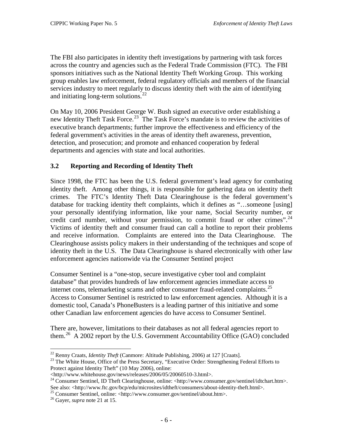The FBI also participates in identity theft investigations by partnering with task forces across the country and agencies such as the Federal Trade Commission (FTC). The FBI sponsors initiatives such as the National Identity Theft Working Group. This working group enables law enforcement, federal regulatory officials and members of the financial services industry to meet regularly to discuss identity theft with the aim of identifying and initiating long-term solutions. $^{22}$  $^{22}$  $^{22}$ 

On May 10, 2006 President George W. Bush signed an executive order establishing a new Identity Theft Task Force.<sup>[23](#page-9-1)</sup> The Task Force's mandate is to review the activities of executive branch departments; further improve the effectiveness and efficiency of the federal government's activities in the areas of identity theft awareness, prevention, detection, and prosecution; and promote and enhanced cooperation by federal departments and agencies with state and local authorities.

## **3.2 Reporting and Recording of Identity Theft**

Since 1998, the FTC has been the U.S. federal government's lead agency for combating identity theft. Among other things, it is responsible for gathering data on identity theft crimes. The FTC's Identity Theft Data Clearinghouse is the federal government's database for tracking identity theft complaints, which it defines as "…someone [using] your personally identifying information, like your name, Social Security number, or credit card number, without your permission, to commit fraud or other crimes".<sup>[24](#page-9-2)</sup> Victims of identity theft and consumer fraud can call a hotline to report their problems and receive information. Complaints are entered into the Data Clearinghouse. The Clearinghouse assists policy makers in their understanding of the techniques and scope of identity theft in the U.S. The Data Clearinghouse is shared electronically with other law enforcement agencies nationwide via the Consumer Sentinel project

Consumer Sentinel is a "one-stop, secure investigative cyber tool and complaint database" that provides hundreds of law enforcement agencies immediate access to internet cons, telemarketing scams and other consumer fraud-related complaints. [25](#page-9-3) Access to Consumer Sentinel is restricted to law enforcement agencies. Although it is a domestic tool, Canada's PhoneBusters is a leading partner of this initiative and some other Canadian law enforcement agencies do have access to Consumer Sentinel.

There are, however, limitations to their databases as not all federal agencies report to them.<sup>[26](#page-9-4)</sup> A 2002 report by the U.S. Government Accountability Office (GAO) concluded

<span id="page-9-1"></span><span id="page-9-0"></span><sup>22</sup> Renny Craats, *Identity Theft* (Canmore: Altitude Publishing, 2006) at 127 [Craats].<br><sup>23</sup> The White House, Office of the Press Secretary, "Executive Order: Strengthening Federal Efforts to Protect against Identity Theft" (10 May 2006), online:<br>
<http://www.whitehouse.gov/news/releases/2006/05/20060510-3.html>.

<span id="page-9-2"></span><sup>&</sup>lt;sup>24</sup> Consumer Sentinel, ID Theft Clearinghouse, online: <http://www.consumer.gov/sentinel/idtchart.htm>. See also: <http://www.ftc.gov/bcp/edu/microsites/idtheft/consumers/about-identity-theft.html>.<sup>25</sup> Consumer Sentinel, online: <http://www.consumer.gov/sentinel/about.htm>. <sup>26</sup> Gayer, *supra* note 21 at 15.

<span id="page-9-3"></span>

<span id="page-9-4"></span>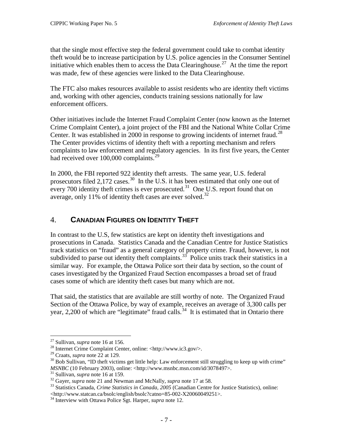that the single most effective step the federal government could take to combat identity theft would be to increase participation by U.S. police agencies in the Consumer Sentinel initiative which enables them to access the Data Clearinghouse.<sup>[27](#page-10-1)</sup> At the time the report was made, few of these agencies were linked to the Data Clearinghouse.

The FTC also makes resources available to assist residents who are identity theft victims and, working with other agencies, conducts training sessions nationally for law enforcement officers.

Other initiatives include the Internet Fraud Complaint Center (now known as the Internet Crime Complaint Center), a joint project of the FBI and the National White Collar Crime Center. It was established in 2000 in response to growing incidents of internet fraud.<sup>[28](#page-10-2)</sup> The Center provides victims of identity theft with a reporting mechanism and refers complaints to law enforcement and regulatory agencies. In its first five years, the Center had received over 100,000 complaints.<sup>[29](#page-10-3)</sup>

In 2000, the FBI reported 922 identity theft arrests. The same year, U.S. federal prosecutors filed  $2,172$  cases.<sup>[30](#page-10-4)</sup> In the U.S. it has been estimated that only one out of every 700 identity theft crimes is ever prosecuted.<sup>31</sup> One U.S. report found that on average, only 11% of identity theft cases are ever solved.<sup>[32](#page-10-6)</sup>

## <span id="page-10-0"></span>4. **CANADIAN FIGURES ON IDENTITY THEFT**

In contrast to the U.S, few statistics are kept on identity theft investigations and prosecutions in Canada. Statistics Canada and the Canadian Centre for Justice Statistics track statistics on "fraud" as a general category of property crime. Fraud, however, is not subdivided to parse out identity theft complaints.<sup>[33](#page-10-7)</sup> Police units track their statistics in a similar way. For example, the Ottawa Police sort their data by section, so the count of cases investigated by the Organized Fraud Section encompasses a broad set of fraud cases some of which are identity theft cases but many which are not.

That said, the statistics that are available are still worthy of note. The Organized Fraud Section of the Ottawa Police, by way of example, receives an average of 3,300 calls per year, 2,200 of which are "legitimate" fraud calls.<sup>[34](#page-10-8)</sup> It is estimated that in Ontario there

<span id="page-10-2"></span><span id="page-10-1"></span><sup>&</sup>lt;sup>27</sup> Sullivan, *supra* note 16 at 156.<br><sup>28</sup> Internet Crime Complaint Center, online: <http://www.ic3.gov/>.<br><sup>29</sup> Craats. *supra* note 22 at 129.

<span id="page-10-3"></span>

<span id="page-10-4"></span><sup>&</sup>lt;sup>30</sup> Bob Sullivan, "ID theft victims get little help: Law enforcement still struggling to keep up with crime"

<span id="page-10-7"></span><span id="page-10-6"></span>

<span id="page-10-5"></span>*MSNBC* (10 February 2003), online: <http://www.msnbc.msn.com/id/3078497>.<br><sup>31</sup> Sullivan, *supra* note 16 at 159.<br><sup>32</sup> Gayer, *supra* note 21 and Newman and McNally, *supra* note 17 at 58.<br><sup>33</sup> Statistics Canada, *Crime St* <http://www.statcan.ca/bsolc/english/bsolc?catno=85-002-X20060049251>. <sup>34</sup> Interview with Ottawa Police Sgt. Harper, *supra* note 12.

<span id="page-10-8"></span>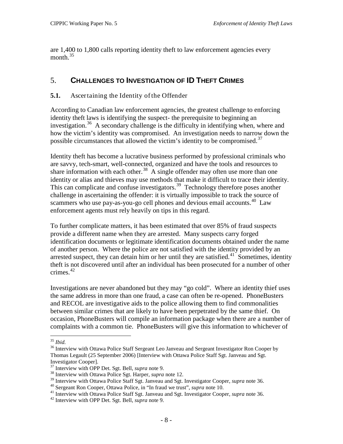are 1,400 to 1,800 calls reporting identity theft to law enforcement agencies every month. $35$ 

## <span id="page-11-0"></span>5. **CHALLENGES TO INVESTIGATION OF ID THEFT CRIMES**

#### <span id="page-11-1"></span>**5.1.** Ascertaining the Identity of the Offender

According to Canadian law enforcement agencies, the greatest challenge to enforcing identity theft laws is identifying the suspect- the prerequisite to beginning an investigation.<sup>[36](#page-11-3)</sup> A secondary challenge is the difficulty in identifying when, where and how the victim's identity was compromised. An investigation needs to narrow down the possible circumstances that allowed the victim's identity to be compromised.<sup>[37](#page-11-4)</sup>

Identity theft has become a lucrative business performed by professional criminals who are savvy, tech-smart, well-connected, organized and have the tools and resources to share information with each other.<sup>38</sup> A single offender may often use more than one identity or alias and thieves may use methods that make it difficult to trace their identity. This can complicate and confuse investigators.<sup>[39](#page-11-6)</sup> Technology therefore poses another challenge in ascertaining the offender: it is virtually impossible to track the source of scammers who use pay-as-you-go cell phones and devious email accounts.<sup>[40](#page-11-7)</sup> Law enforcement agents must rely heavily on tips in this regard.

To further complicate matters, it has been estimated that over 85% of fraud suspects provide a different name when they are arrested. Many suspects carry forged identification documents or legitimate identification documents obtained under the name of another person. Where the police are not satisfied with the identity provided by an arrested suspect, they can detain him or her until they are satisfied. $41$  Sometimes, identity theft is not discovered until after an individual has been prosecuted for a number of other crimes. $42$ 

Investigations are never abandoned but they may "go cold". Where an identity thief uses the same address in more than one fraud, a case can often be re-opened. PhoneBusters and RECOL are investigative aids to the police allowing them to find commonalities between similar crimes that are likely to have been perpetrated by the same thief. On occasion, PhoneBusters will compile an information package when there are a number of complaints with a common tie. PhoneBusters will give this information to whichever of

<span id="page-11-3"></span><span id="page-11-2"></span><sup>&</sup>lt;sup>35</sup> *Ibid.*<br><sup>36</sup> Interview with Ottawa Police Staff Sergeant Leo Janveau and Sergeant Investigator Ron Cooper by Thomas Legault (25 September 2006) [Interview with Ottawa Police Staff Sgt. Janveau and Sgt. Investigator Cooper].<br><sup>37</sup> Interview with OPP Det. Sgt. Bell, *supra* note 9.

<span id="page-11-5"></span><span id="page-11-4"></span><sup>&</sup>lt;sup>38</sup> Interview with Ottawa Police Sgt. Harper, *supra* note 12.<br><sup>39</sup> Interview with Ottawa Police Staff Sgt. Janveau and Sgt. Investigator Cooper, *supra* note 36.

<span id="page-11-8"></span><span id="page-11-7"></span><span id="page-11-6"></span><sup>&</sup>lt;sup>40</sup> Sergeant Ron Cooper, Ottawa Police, in "In fraud we trust", *supra* note 10.<br><sup>41</sup> Interview with Ottawa Police Staff Sgt. Janveau and Sgt. Investigator Cooper, *supra* note 36.<br><sup>42</sup> Interview with OPP Det. Sgt. Bell,

<span id="page-11-9"></span>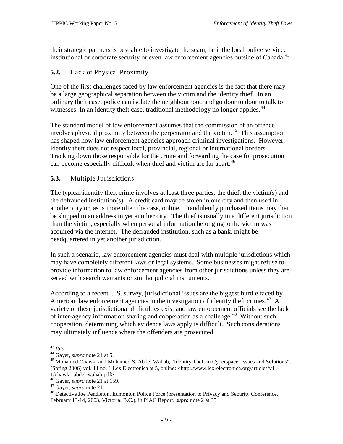their strategic partners is best able to investigate the scam, be it the local police service, institutional or corporate security or even law enforcement agencies outside of Canada.<sup>[43](#page-12-2)</sup>

## <span id="page-12-0"></span>**5.2.** Lack of Physical Proximity

One of the first challenges faced by law enforcement agencies is the fact that there may be a large geographical separation between the victim and the identity thief. In an ordinary theft case, police can isolate the neighbourhood and go door to door to talk to witnesses. In an identity theft case, traditional methodology no longer applies.<sup>[44](#page-12-3)</sup>

The standard model of law enforcement assumes that the commission of an offence involves physical proximity between the perpetrator and the victim.<sup>[45](#page-12-4)</sup> This assumption has shaped how law enforcement agencies approach criminal investigations. However, identity theft does not respect local, provincial, regional or international borders. Tracking down those responsible for the crime and forwarding the case for prosecution can become especially difficult when thief and victim are far apart.<sup>[46](#page-12-5)</sup>

## <span id="page-12-1"></span>**5.3.** Multiple Jurisdictions

The typical identity theft crime involves at least three parties: the thief, the victim(s) and the defrauded institution(s). A credit card may be stolen in one city and then used in another city or, as is more often the case, online. Fraudulently purchased items may then be shipped to an address in yet another city. The thief is usually in a different jurisdiction than the victim, especially when personal information belonging to the victim was acquired via the internet. The defrauded institution, such as a bank, might be headquartered in yet another jurisdiction.

In such a scenario, law enforcement agencies must deal with multiple jurisdictions which may have completely different laws or legal systems. Some businesses might refuse to provide information to law enforcement agencies from other jurisdictions unless they are served with search warrants or similar judicial instruments.

According to a recent U.S. survey, jurisdictional issues are the biggest hurdle faced by American law enforcement agencies in the investigation of identity theft crimes.<sup>[47](#page-12-6)</sup> A variety of these jurisdictional difficulties exist and law enforcement officials see the lack of inter-agency information sharing and cooperation as a challenge.<sup>[48](#page-12-7)</sup> Without such cooperation, determining which evidence laws apply is difficult. Such considerations may ultimately influence where the offenders are prosecuted.

<span id="page-12-4"></span>

<span id="page-12-3"></span><span id="page-12-2"></span><sup>&</sup>lt;sup>43</sup> *Ibid.*<br><sup>44</sup> Gayer, *supra* note 21 at 5.<br><sup>45</sup> Mohamed Chawki and Mohamed S. Abdel Wahab, "Identity Theft in Cyberspace: Issues and Solutions", (Spring 2006) vol. 11 no. 1 Lex Electronica at 5, online: <http://www.lex-electronica.org/articles/v11-

<span id="page-12-7"></span><span id="page-12-6"></span>

<span id="page-12-5"></span><sup>1/</sup>chawki\_abdel-wahab.pdf>.<br><sup>46</sup> Gayer, *supra* note 21 at 159.<br><sup>47</sup> Gayer, *supra* note 21.<br><sup>48</sup> Detective Joe Pendleton, Edmonton Police Force (presentation to Privacy and Security Conference, February 13-14, 2003, Victoria, B.C.), in PIAC Report, *supra* note 2 at 35.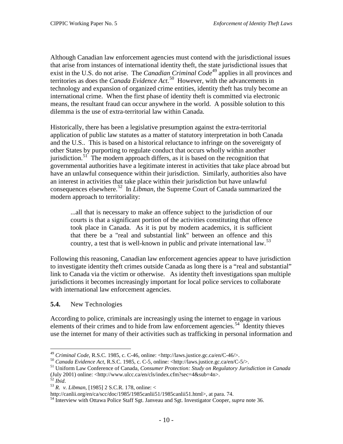Although Canadian law enforcement agencies must contend with the jurisdictional issues that arise from instances of international identity theft, the state jurisdictional issues that exist in the U.S. do not arise. The *Canadian Criminal Code*<sup>[49](#page-13-1)</sup> applies in all provinces and territories as does the *Canada Evidence Act*. [50](#page-13-2) However, with the advancements in technology and expansion of organized crime entities, identity theft has truly become an international crime. When the first phase of identity theft is committed via electronic means, the resultant fraud can occur anywhere in the world. A possible solution to this dilemma is the use of extra-territorial law within Canada.

Historically, there has been a legislative presumption against the extra-territorial application of public law statutes as a matter of statutory interpretation in both Canada and the U.S.. This is based on a historical reluctance to infringe on the sovereignty of other States by purporting to regulate conduct that occurs wholly within another jurisdiction.<sup>[51](#page-13-3)</sup> The modern approach differs, as it is based on the recognition that governmental authorities have a legitimate interest in activities that take place abroad but have an unlawful consequence within their jurisdiction. Similarly, authorities also have an interest in activities that take place within their jurisdiction but have unlawful consequences elsewhere. [52](#page-13-4) In *Libman*, the Supreme Court of Canada summarized the modern approach to territoriality:

...all that is necessary to make an offence subject to the jurisdiction of our courts is that a significant portion of the activities constituting that offence took place in Canada. As it is put by modern academics, it is sufficient that there be a "real and substantial link" between an offence and this country, a test that is well-known in public and private international law.<sup>[53](#page-13-5)</sup>

Following this reasoning, Canadian law enforcement agencies appear to have jurisdiction to investigate identity theft crimes outside Canada as long there is a "real and substantial" link to Canada via the victim or otherwise. As identity theft investigations span multiple jurisdictions it becomes increasingly important for local police services to collaborate with international law enforcement agencies.

#### <span id="page-13-0"></span>**5.4.** New Technologies

According to police, criminals are increasingly using the internet to engage in various elements of their crimes and to hide from law enforcement agencies.<sup>[54](#page-13-6)</sup> Identity thieves use the internet for many of their activities such as trafficking in personal information and

<span id="page-13-3"></span>

<span id="page-13-2"></span><span id="page-13-1"></span><sup>&</sup>lt;sup>49</sup> Criminal Code, R.S.C. 1985, c. C-46, online: <http://laws.justice.gc.ca/en/C-46/>.<br><sup>50</sup> Canada Evidence Act, R.S.C. 1985, c. C-5, online: <http://laws.justice.gc.ca/en/C-5/>.<br><sup>51</sup> Uniform Law Conference of Canada, *C* (July 2001) online: <http://www.ulcc.ca/en/cls/index.cfm?sec=4&sub=4n>.<br>
<sup>52</sup> Ibid.

<span id="page-13-5"></span><span id="page-13-4"></span><sup>&</sup>lt;sup>53</sup> *R. v. Libman*, [1985] 2 S.C.R. 178, online: <<br>http://canlii.org/en/ca/scc/doc/1985/1985canlii51/1985canlii51.html>, at para. 74.

<span id="page-13-6"></span><sup>&</sup>lt;sup>54</sup> Interview with Ottawa Police Staff Sgt. Janveau and Sgt. Investigator Cooper, *supra* note 36.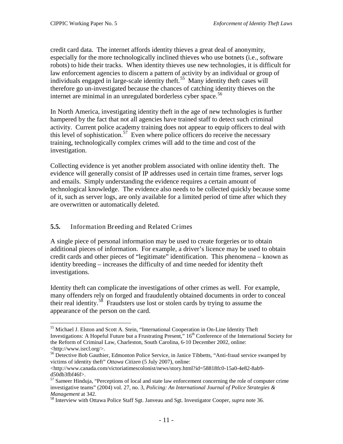credit card data. The internet affords identity thieves a great deal of anonymity, especially for the more technologically inclined thieves who use botnets (i.e., software robots) to hide their tracks. When identity thieves use new technologies, it is difficult for law enforcement agencies to discern a pattern of activity by an individual or group of individuals engaged in large-scale identity theft.<sup>[55](#page-14-1)</sup> Many identity theft cases will therefore go un-investigated because the chances of catching identity thieves on the internet are minimal in an unregulated borderless cyber space.<sup>[56](#page-14-2)</sup>

In North America, investigating identity theft in the age of new technologies is further hampered by the fact that not all agencies have trained staff to detect such criminal activity. Current police academy training does not appear to equip officers to deal with this level of sophistication.<sup>[57](#page-14-3)</sup> Even where police officers do receive the necessary training, technologically complex crimes will add to the time and cost of the investigation.

Collecting evidence is yet another problem associated with online identity theft. The evidence will generally consist of IP addresses used in certain time frames, server logs and emails. Simply understanding the evidence requires a certain amount of technological knowledge. The evidence also needs to be collected quickly because some of it, such as server logs, are only available for a limited period of time after which they are overwritten or automatically deleted.

## <span id="page-14-0"></span>**5.5.** Information Breeding and Related Crimes

A single piece of personal information may be used to create forgeries or to obtain additional pieces of information. For example, a driver's licence may be used to obtain credit cards and other pieces of "legitimate" identification. This phenomena – known as identity breeding – increases the difficulty of and time needed for identity theft investigations.

Identity theft can complicate the investigations of other crimes as well. For example, many offenders rely on forged and fraudulently obtained documents in order to conceal their real identity.<sup>[58](#page-14-4)</sup> Fraudsters use lost or stolen cards by trying to assume the appearance of the person on the card.

<span id="page-14-1"></span><sup>&</sup>lt;sup>55</sup> Michael J. Elston and Scott A. Stein, "International Cooperation in On-Line Identity Theft Investigations: A Hopeful Future but a Frustrating Present," 16<sup>th</sup> Conference of the International Society for the Reform of Criminal Law, Charleston, South Carolina, 6-10 December 2002, online: <http://www.isrcl.org/>.

<span id="page-14-2"></span><sup>&</sup>lt;sup>56</sup> Detective Bob Gauthier, Edmonton Police Service, in Janice Tibbetts, "Anti-fraud service swamped by victims of identity theft" *Ottawa Citizen* (5 July 2007), online:

 $\langle$ http://www.canada.com/victoriatimescolonist/news/story.html?id=58818fc0-15a0-4e82-8ab9d50db3fbf46f>.<br><sup>57</sup> Sameer Hinduja, "Perceptions of local and state law enforcement concerning the role of computer crime

<span id="page-14-3"></span>investigative teams" (2004) vol. 27, no. 3, *Policing: An International Journal of Police Strategies & Management* at 342.<br><sup>58</sup> Interview with Ottawa Police Staff Sgt. Janveau and Sgt. Investigator Cooper, *supra* note 36.

<span id="page-14-4"></span>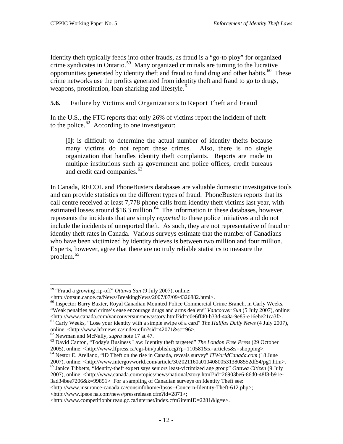Identity theft typically feeds into other frauds, as fraud is a "go-to ploy" for organized crime syndicates in Ontario.[59](#page-15-1) Many organized criminals are turning to the lucrative opportunities generated by identity theft and fraud to fund drug and other habits.<sup>[60](#page-15-2)</sup> These crime networks use the profits generated from identity theft and fraud to go to drugs, weapons, prostitution, loan sharking and lifestyle.<sup>[61](#page-15-3)</sup>

<span id="page-15-0"></span>**5.6.** Failure by Victims and Organizations to Report Theft and Fraud

In the U.S., the FTC reports that only 26% of victims report the incident of theft to the police. $62$  According to one investigator:

[I]t is difficult to determine the actual number of identity thefts because many victims do not report these crimes. Also, there is no single organization that handles identity theft complaints. Reports are made to multiple institutions such as government and police offices, credit bureaus and credit card companies. [63](#page-15-5)

In Canada, RECOL and PhoneBusters databases are valuable domestic investigative tools and can provide statistics on the different types of fraud. PhoneBusters reports that its call centre received at least 7,778 phone calls from identity theft victims last year, with estimated losses around \$16.3 million.<sup>[64](#page-15-6)</sup> The information in these databases, however, represents the incidents that are simply *reported* to these police initiatives and do not include the incidents of unreported theft. As such, they are not representative of fraud or identity theft rates in Canada. Various surveys estimate that the number of Canadians who have been victimized by identity thieves is between two million and four million. Experts, however, agree that there are no truly reliable statistics to measure the problem.[65](#page-15-7)

<span id="page-15-7"></span>2007), online: <http://www.canada.com/topics/news/national/story.html?id=26903be6-86d0-48f8-b91e-3ad34bee7206&k=99851> For a sampling of Canadian surveys on Identity Theft see:

<http://www.insurance-canada.ca/consinfohome/Ipsos--Concern-Identity-Theft-612.php>;

<span id="page-15-1"></span><sup>&</sup>lt;sup>59</sup> "Fraud a growing rip-off" *Ottawa Sun* (9 July 2007), online:<br><http://ottsun.canoe.ca/News/BreakingNews/2007/07/09/4326882.html>.

<span id="page-15-2"></span><sup>&</sup>lt;sup>60</sup> Inspector Barry Baxter, Royal Canadian Mounted Police Commercial Crime Branch, in Carly Weeks, "Weak penalties and crime's ease encourage drugs and arms dealers" *Vancouver Sun* (5 July 2007), online:<br><http://www.canada.com/vancouversun/news/story.html?id=c0e6ff40-b33d-4a8a-9e85-e16ebe21ca3f>.

<span id="page-15-3"></span><sup>&</sup>lt;sup>61</sup> Carly Weeks, "Lose your identity with a simple swipe of a card" *The Halifax Daily News* (4 July 2007),

<span id="page-15-5"></span><span id="page-15-4"></span>

online: <http://www.hfxnews.ca/index.cfm?sid=42071&sc=96>.<br><sup>62</sup> Newman and McNally, *supra* note 17 at 47.<br><sup>63</sup> David Canton, "Today's Business Law: Identity theft targeted" *The London Free Press* (29 October 2005), onlin

<span id="page-15-6"></span><sup>&</sup>lt;sup>64</sup> Nestor E. Arellano, "ID Theft on the rise in Canada, reveals survey" *ITWorldCanada.com* (18 June 2007), online: <http://www.intergovworld.com/article/302021160a010408005313808552df54/pg1.htm>. <sup>65</sup> Janice Tibbetts, "Identity-theft expert says seniors least-victimized age group" *Ottawa Citizen* (9 July

<sup>&</sup>lt;http://www.ipsos na.com/news/pressrelease.cfm?id=2871>;

<sup>&</sup>lt;http://www.competitionbureau.gc.ca/internet/index.cfm?itemID=2281&lg=e>.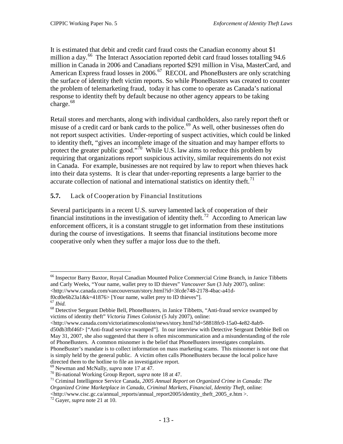It is estimated that debit and credit card fraud costs the Canadian economy about \$1 million a day.<sup>[66](#page-16-1)</sup> The Interact Association reported debit card fraud losses totalling 94.6 million in Canada in 2006 and Canadians reported \$291 million in Visa, MasterCard, and American Express fraud losses in 2006.<sup>[67](#page-16-2)</sup> RECOL and PhoneBusters are only scratching the surface of identity theft victim reports. So while PhoneBusters was created to counter the problem of telemarketing fraud, today it has come to operate as Canada's national response to identity theft by default because no other agency appears to be taking charge. $^{68}$  $^{68}$  $^{68}$ 

Retail stores and merchants, along with individual cardholders, also rarely report theft or misuse of a credit card or bank cards to the police.<sup>[69](#page-16-4)</sup> As well, other businesses often do not report suspect activities. Under-reporting of suspect activities, which could be linked to identity theft, "gives an incomplete image of the situation and may hamper efforts to protect the greater public good."<sup>[70](#page-16-5)</sup> While U.S. law aims to reduce this problem by requiring that organizations report suspicious activity, similar requirements do not exist in Canada. For example, businesses are not required by law to report when thieves hack into their data systems. It is clear that under-reporting represents a large barrier to the accurate collection of national and international statistics on identity theft.<sup>[71](#page-16-6)</sup>

## <span id="page-16-0"></span>**5.7.** Lack of Cooperation by Financial Institutions

Several participants in a recent U.S. survey lamented lack of cooperation of their financial institutions in the investigation of identity theft.<sup>[72](#page-16-7)</sup> According to American law enforcement officers, it is a constant struggle to get information from these institutions during the course of investigations. It seems that financial institutions become more cooperative only when they suffer a major loss due to the theft.

<span id="page-16-1"></span> <sup>66</sup> Inspector Barry Baxtor, Royal Canadian Mounted Police Commercial Crime Branch, in Janice Tibbetts and Carly Weeks, "Your name, wallet prey to ID thieves" *Vancouver Sun* (3 July 2007), online: \ttp://www.canada.com/vancouversun/story.html?id=3fcde748-2178-4bac-a41d-<br>f0cd0e6b23a1&k=41876> [Your name, wallet prey to ID thieves"].

<span id="page-16-3"></span><span id="page-16-2"></span><sup>&</sup>lt;sup>67</sup> *Ibid.*<br><sup>68</sup> Detective Sergeant Debbie Bell, PhoneBusters, in Janice Tibbetts, "Anti-fraud service swamped by victims of identity theft" *Victoria Times Colonist* (5 July 2007), online:

 $\langle$ http://www.canada.com/victoriatimescolonist/news/story.html?id=58818fc0-15a0-4e82-8ab9d50db3fbf46f> ["Anti-fraud service swamped"]. In our interview with Detective Sergeant Debbie Bell on May 31, 2007, she also suggested that there is often miscommunication and a misunderstanding of the role of PhoneBusters. A common misnomer is the belief that PhoneBusters investigates complaints. PhoneBuster's mandate is to collect information on mass marketing scams. This misnomer is not one that is simply held by the general public. A victim often calls PhoneBusters because the local police have directed them to the hotline to file an investigative report.  $69$  Newman and McNally, *supra* note 17 at 47.

<span id="page-16-6"></span><span id="page-16-5"></span><span id="page-16-4"></span><sup>&</sup>lt;sup>70</sup> Bi-national Working Group Report, *supra* note 18 at 47.<br><sup>71</sup> Criminal Intelligence Service Canada, 2005 Annual Report on Organized Crime in Canada: The *Organized Crime Marketplace in Canada, Criminal Markets, Financial, Identity Theft*, online: <http://www.cisc.gc.ca/annual\_reports/annual\_report2005/identity\_theft\_2005\_e.htm >. <sup>72</sup> Gayer, *supra* note 21 at 10.

<span id="page-16-7"></span>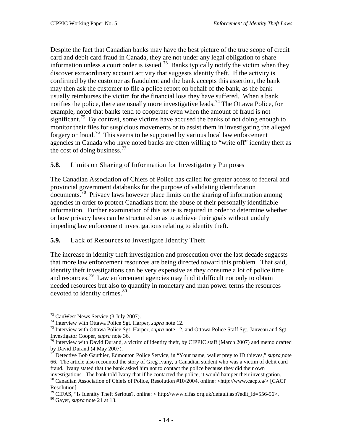Despite the fact that Canadian banks may have the best picture of the true scope of credit card and debit card fraud in Canada, they are not under any legal obligation to share information unless a court order is issued.<sup>73</sup> Banks typically notify the victim when they discover extraordinary account activity that suggests identity theft. If the activity is confirmed by the customer as fraudulent and the bank accepts this assertion, the bank may then ask the customer to file a police report on behalf of the bank, as the bank usually reimburses the victim for the financial loss they have suffered. When a bank notifies the police, there are usually more investigative leads.<sup>[74](#page-17-3)</sup> The Ottawa Police, for example, noted that banks tend to cooperate even when the amount of fraud is not significant.<sup>[75](#page-17-4)</sup> By contrast, some victims have accused the banks of not doing enough to monitor their files for suspicious movements or to assist them in investigating the alleged forgery or fraud.<sup>[76](#page-17-5)</sup> This seems to be supported by various local law enforcement agencies in Canada who have noted banks are often willing to "write off" identity theft as the cost of doing business.  $77$ 

<span id="page-17-0"></span>**5.8.** Limits on Sharing of Information for Investigatory Purposes

The Canadian Association of Chiefs of Police has called for greater access to federal and provincial government databanks for the purpose of validating identification documents.<sup>[78](#page-17-7)</sup> Privacy laws however place limits on the sharing of information among agencies in order to protect Canadians from the abuse of their personally identifiable information. Further examination of this issue is required in order to determine whether or how privacy laws can be structured so as to achieve their goals without unduly impeding law enforcement investigations relating to identity theft.

## <span id="page-17-1"></span>**5.9.** Lack of Resources to Investigate Identity Theft

The increase in identity theft investigation and prosecution over the last decade suggests that more law enforcement resources are being directed toward this problem. That said, identity theft investigations can be very expensive as they consume a lot of police time and resources. [79](#page-17-8) Law enforcement agencies may find it difficult not only to obtain needed resources but also to quantify in monetary and man power terms the resources devoted to identity crimes.<sup>[80](#page-17-9)</sup>

<span id="page-17-4"></span>

<span id="page-17-3"></span><span id="page-17-2"></span><sup>&</sup>lt;sup>73</sup> CanWest News Service (3 July 2007).<br><sup>74</sup> Interview with Ottawa Police Sgt. Harper, *supra* note 12.<br><sup>75</sup> Interview with Ottawa Police Sgt. Harper, *supra* note 12, and Ottawa Police Staff Sgt. Janveau and Sgt.<br>Investi

<span id="page-17-5"></span><sup>&</sup>lt;sup>76</sup> Interview with David Durand, a victim of identity theft, by CIPPIC staff (March 2007) and memo drafted by David Durand (4 May 2007).

<span id="page-17-6"></span><sup>77</sup> Detective Bob Gauthier, Edmonton Police Service, in "Your name, wallet prey to ID thieves," *supra* note 66. The article also recounted the story of Greg Ivany, a Canadian student who was a victim of debit card fraud. Ivany stated that the bank asked him not to contact the police because they did their own

<span id="page-17-7"></span>investigations. The bank told Ivany that if he contacted the police, it would hamper their investigation. <sup>78</sup> Canadian Association of Chiefs of Police, Resolution #10/2004, online: <http://www.cacp.ca/> [CACP Resolution].

<span id="page-17-8"></span><sup>79</sup> CIFAS, "Is Identity Theft Serious?, online: < http://www.cifas.org.uk/default.asp?edit\_id=556-56>. <sup>80</sup> Gayer, *supra* note 21 at 13.

<span id="page-17-9"></span>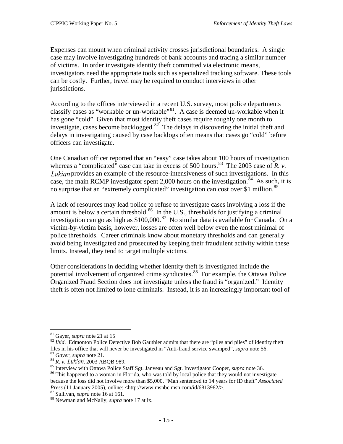Expenses can mount when criminal activity crosses jurisdictional boundaries. A single case may involve investigating hundreds of bank accounts and tracing a similar number of victims. In order investigate identity theft committed via electronic means, investigators need the appropriate tools such as specialized tracking software. These tools can be costly. Further, travel may be required to conduct interviews in other jurisdictions.

According to the offices interviewed in a recent U.S. survey, most police departments classify cases as "workable or un-workable"[81.](#page-18-0) A case is deemed un-workable when it has gone "cold". Given that most identity theft cases require roughly one month to investigate, cases become backlogged. $82^{\circ}$  $82^{\circ}$  The delays in discovering the initial theft and delays in investigating caused by case backlogs often means that cases go "cold" before officers can investigate.

One Canadian officer reported that an "easy" case takes about 100 hours of investigation whereas a "complicated" case can take in excess of 500 hours.<sup>[83](#page-18-2)</sup> The 2003 case of *R. v.* Lukian provides an example of the resource-intensiveness of such investigations. In this case, the main RCMP investigator spent 2,000 hours on the investigation.<sup>84</sup> As such, it is no surprise that an "extremely complicated" investigation can cost over \$1 million.<sup>[85](#page-18-4)</sup>

A lack of resources may lead police to refuse to investigate cases involving a loss if the amount is below a certain threshold.<sup>[86](#page-18-5)</sup> In the U.S., thresholds for justifying a criminal investigation can go as high as  $$100,000$ .<sup>[87](#page-18-6)</sup> No similar data is available for Canada. On a victim-by-victim basis, however, losses are often well below even the most minimal of police thresholds. Career criminals know about monetary thresholds and can generally avoid being investigated and prosecuted by keeping their fraudulent activity within these limits. Instead, they tend to target multiple victims.

Other considerations in deciding whether identity theft is investigated include the potential involvement of organized crime syndicates.<sup>[88](#page-18-7)</sup> For example, the Ottawa Police Organized Fraud Section does not investigate unless the fraud is "organized." Identity theft is often not limited to lone criminals. Instead, it is an increasingly important tool of

<span id="page-18-1"></span><span id="page-18-0"></span><sup>&</sup>lt;sup>81</sup> Gayer, *supra* note 21 at 15<br><sup>82</sup> *Ibid*. Edmonton Police Detective Bob Gauthier admits that there are "piles and piles" of identity theft files in his office that will never be investigated in "Anti-fraud service swamped", *supra* note 56.<br><sup>84</sup> *R. v. Lukian*, 2003 ABQB 989.<br><sup>85</sup> Interview with Ottawa Police Staff Sgt. Janveau and Sgt. Investigator Cooper,

<span id="page-18-3"></span><span id="page-18-2"></span>

<span id="page-18-5"></span><span id="page-18-4"></span><sup>&</sup>lt;sup>86</sup> This happened to a woman in Florida, who was told by local police that they would not investigate because the loss did not involve more than \$5,000. "Man sentenced to 14 years for ID theft" *Associated Press* (11 January 2005), online: <http://www.msnbc.msn.com/id/6813982/>. <sup>87</sup> Sullivan, *supra* note 16 at 161. 88 Newman and McNally, *supra* note 17 at ix.

<span id="page-18-6"></span>

<span id="page-18-7"></span>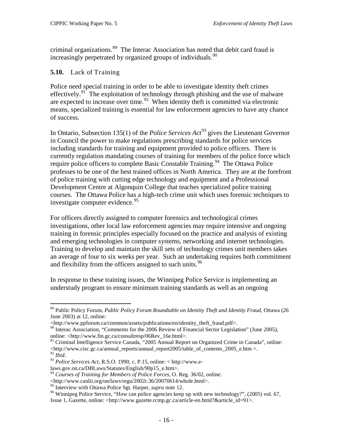criminal organizations. [89](#page-19-1) The Interac Association has noted that debit card fraud is increasingly perpetrated by organized groups of individuals.<sup>[90](#page-19-2)</sup>

#### <span id="page-19-0"></span>**5.10.** Lack of Training

Police need special training in order to be able to investigate identity theft crimes effectively.<sup>[91](#page-19-3)</sup> The exploitation of technology through phishing and the use of malware are expected to increase over time.<sup>[92](#page-19-4)</sup> When identity theft is committed via electronic means, specialized training is essential for law enforcement agencies to have any chance of success.

In Ontario, Subsection 135(1) of the *Police Services Act* [93](#page-19-5) gives the Lieutenant Governor in Council the power to make regulations prescribing standards for police services including standards for training and equipment provided to police officers. There is currently regulation mandating courses of training for members of the police force which require police officers to complete Basic Constable Training.<sup>94</sup> The Ottawa Police professes to be one of the best trained offices in North America. They are at the forefront of police training with cutting edge technology and equipment and a Professional Development Centre at Algonquin College that teaches specialized police training courses. The Ottawa Police has a high-tech crime unit which uses forensic techniques to investigate computer evidence.<sup>[95](#page-19-7)</sup>

For officers directly assigned to computer forensics and technological crimes investigations, other local law enforcement agencies may require intensive and ongoing training in forensic principles especially focused on the practice and analysis of existing and emerging technologies in computer systems, networking and internet technologies. Training to develop and maintain the skill sets of technology crimes unit members takes an average of four to six weeks per year. Such an undertaking requires both commitment and flexibility from the officers assigned to such units.<sup>[96](#page-19-8)</sup>

In response to these training issues, the Winnipeg Police Service is implementing an understudy program to ensure minimum training standards as well as an ongoing

<span id="page-19-3"></span><sup>91</sup> Criminal Intelligence Service Canada, "2005 Annual Report on Organized Crime in Canada", online:  $\leq$ http://www.cisc.gc.ca/annual\_reports/annual\_report2005/table\_of\_contents\_2005\_e.htm  $>$ . $^{92}$   $_{Hid}$ 

<span id="page-19-1"></span> <sup>89</sup> Public Policy Forum, *Public Policy Forum Roundtable on Identity Theft and Identity Fraud*, Ottawa (26 June 2003) at 12, online:

<sup>&</sup>lt;http://www.ppforum.ca/common/assets/publications/en/identity\_theft\_fraud.pdf>.

<span id="page-19-2"></span><sup>&</sup>lt;sup>90</sup> Interac Association, "Comments for the 2006 Review of Financial Sector Legislation" (June 2005), online: <http://www.fin.gc.ca/consultresp/06Rev\_16e.html>.

<span id="page-19-5"></span><span id="page-19-4"></span><sup>92</sup> *Ibid*. <sup>93</sup> *Police Services Act*, R.S.O. 1990, c. P.15, online: < http://www.e-

laws.gov.on.ca/DBLaws/Statutes/English/90p15\_e.htm>.

<span id="page-19-6"></span><sup>94</sup> *Courses of Training for Members of Police Forces*, O. Reg. 36/02, online:

<sup>&</sup>lt;http://www.canlii.org/on/laws/regu/2002r.36/20070614/whole.html>.

<span id="page-19-8"></span><span id="page-19-7"></span><sup>&</sup>lt;sup>96</sup> Winnipeg Police Service, "How can police agencies keep up with new technology?", (2005) vol. 67, Issue 1, Gazette, online: <http://www.gazette.rcmp.gc.ca/article-en.html?&article\_id=91>.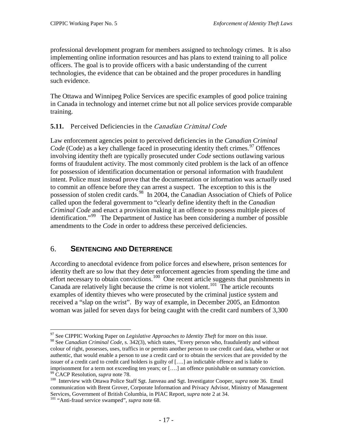professional development program for members assigned to technology crimes. It is also implementing online information resources and has plans to extend training to all police officers. The goal is to provide officers with a basic understanding of the current technologies, the evidence that can be obtained and the proper procedures in handling such evidence.

The Ottawa and Winnipeg Police Services are specific examples of good police training in Canada in technology and internet crime but not all police services provide comparable training.

## <span id="page-20-0"></span>**5.11.** Perceived Deficiencies in the Canadian Criminal Code

Law enforcement agencies point to perceived deficiencies in the *Canadian Criminal Code* (Code) as a key challenge faced in prosecuting identity theft crimes.<sup>[97](#page-20-2)</sup> Offences involving identity theft are typically prosecuted under *Code* sections outlawing various forms of fraudulent activity. The most commonly cited problem is the lack of an offence for possession of identification documentation or personal information with fraudulent intent. Police must instead prove that the documentation or information was a*ctually* used to commit an offence before they can arrest a suspect. The exception to this is the possession of stolen credit cards.<sup>[98](#page-20-3)</sup> In 2004, the Canadian Association of Chiefs of Police called upon the federal government to "clearly define identity theft in the *Canadian Criminal Code* and enact a provision making it an offence to possess multiple pieces of identification."[99](#page-20-4) The Department of Justice has been considering a number of possible amendments to the *Code* in order to address these perceived deficiencies.

## <span id="page-20-1"></span>6. **SENTENCING AND DETERRENCE**

According to anecdotal evidence from police forces and elsewhere, prison sentences for identity theft are so low that they deter enforcement agencies from spending the time and effort necessary to obtain convictions.<sup>100</sup> One recent article suggests that punishments in Canada are relatively light because the crime is not violent.<sup>[101](#page-20-6)</sup> The article recounts examples of identity thieves who were prosecuted by the criminal justice system and received a "slap on the wrist". By way of example, in December 2005, an Edmonton woman was jailed for seven days for being caught with the credit card numbers of 3,300

 <sup>97</sup> See CIPPIC Working Paper on *Legislative Approaches to Identity Theft* for more on this issue.

<span id="page-20-3"></span><span id="page-20-2"></span><sup>98</sup> See *Canadian Criminal Code*, s. 342(3), which states, "Every person who, fraudulently and without colour of right, possesses, uses, traffics in or permits another person to use credit card data, whether or not authentic, that would enable a person to use a credit card or to obtain the services that are provided by the issuer of a credit card to credit card holders is guilty of [….] an indictable offence and is liable to imprisonment for a term not exceeding ten years; or [....] an offence punishable on summary conviction.<br><sup>99</sup> CACP Resolution, *supra* note 78.

<span id="page-20-5"></span><span id="page-20-4"></span><sup>&</sup>lt;sup>100</sup> Interview with Ottawa Police Staff Sgt. Janveau and Sgt. Investigator Cooper, *supra* note 36. Email communication with Brent Grover, Corporate Information and Privacy Advisor, Ministry of Management Services, Government of British Columbia, in PIAC Report, *supra* note 2 at 34. <sup>101</sup> "Anti-fraud service swamped", *supra* note 68.

<span id="page-20-6"></span>